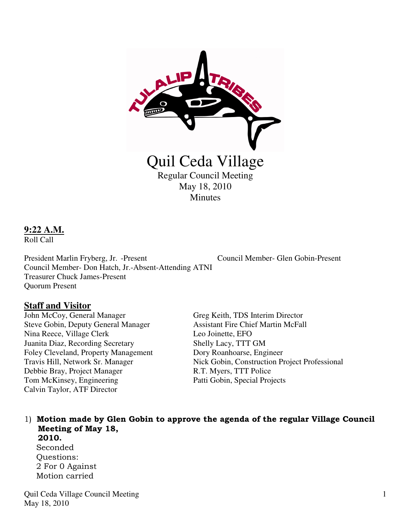

# **9:22 A.M.**

Roll Call

President Marlin Fryberg, Jr. -Present Council Member- Glen Gobin-Present Council Member- Don Hatch, Jr.-Absent-Attending ATNI Treasurer Chuck James-Present Quorum Present

# **Staff and Visitor**

John McCoy, General Manager Greg Keith, TDS Interim Director Steve Gobin, Deputy General Manager Assistant Fire Chief Martin McFall Nina Reece, Village Clerk Leo Joinette, EFO Juanita Diaz, Recording Secretary Shelly Lacy, TTT GM Foley Cleveland, Property Management Dory Roanhoarse, Engineer Debbie Bray, Project Manager R.T. Myers, TTT Police Tom McKinsey, Engineering Patti Gobin, Special Projects Calvin Taylor, ATF Director

Travis Hill, Network Sr. Manager Nick Gobin, Construction Project Professional

#### 1) Motion made by Glen Gobin to approve the agenda of the regular Village Council Meeting of May 18, 2010.

Seconded Questions: 2 For 0 Against Motion carried

Quil Ceda Village Council Meeting May 18, 2010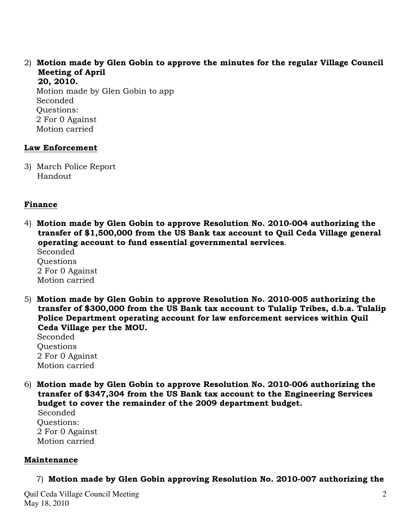2) Motion made by Glen Gobin to approve the minutes for the regular Village Council Meeting of April

 20, 2010. Motion made by Glen Gobin to app Seconded Questions: 2 For 0 Against Motion carried

### Law Enforcement

3) March Police Report Handout

# Finance

4) Motion made by Glen Gobin to approve Resolution No. 2010-004 authorizing the transfer of \$1,500,000 from the US Bank tax account to Quil Ceda Village general operating account to fund essential governmental services.

 Seconded **Ouestions**  2 For 0 Against Motion carried

5) Motion made by Glen Gobin to approve Resolution No. 2010-005 authorizing the transfer of \$300,000 from the US Bank tax account to Tulalip Tribes, d.b.a. Tulalip Police Department operating account for law enforcement services within Quil Ceda Village per the MOU.

 Seconded Questions 2 For 0 Against Motion carried

6) Motion made by Glen Gobin to approve Resolution No. 2010-006 authorizing the transfer of \$347,304 from the US Bank tax account to the Engineering Services budget to cover the remainder of the 2009 department budget.

 Seconded Questions: 2 For 0 Against Motion carried

# Maintenance

7) Motion made by Glen Gobin approving Resolution No. 2010-007 authorizing the

Quil Ceda Village Council Meeting May 18, 2010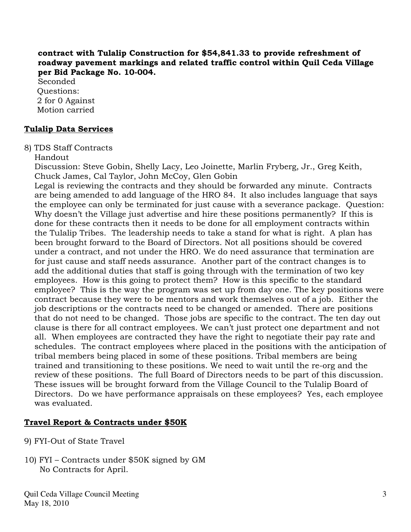#### contract with Tulalip Construction for \$54,841.33 to provide refreshment of roadway pavement markings and related traffic control within Quil Ceda Village per Bid Package No. 10-004.

 Seconded Questions: 2 for 0 Against Motion carried

# Tulalip Data Services

8) TDS Staff Contracts

Handout

 Discussion: Steve Gobin, Shelly Lacy, Leo Joinette, Marlin Fryberg, Jr., Greg Keith, Chuck James, Cal Taylor, John McCoy, Glen Gobin

 Legal is reviewing the contracts and they should be forwarded any minute. Contracts are being amended to add language of the HRO 84. It also includes language that says the employee can only be terminated for just cause with a severance package. Question: Why doesn't the Village just advertise and hire these positions permanently? If this is done for these contracts then it needs to be done for all employment contracts within the Tulalip Tribes. The leadership needs to take a stand for what is right. A plan has been brought forward to the Board of Directors. Not all positions should be covered under a contract, and not under the HRO. We do need assurance that termination are for just cause and staff needs assurance. Another part of the contract changes is to add the additional duties that staff is going through with the termination of two key employees. How is this going to protect them? How is this specific to the standard employee? This is the way the program was set up from day one. The key positions were contract because they were to be mentors and work themselves out of a job. Either the job descriptions or the contracts need to be changed or amended. There are positions that do not need to be changed. Those jobs are specific to the contract. The ten day out clause is there for all contract employees. We can't just protect one department and not all. When employees are contracted they have the right to negotiate their pay rate and schedules. The contract employees where placed in the positions with the anticipation of tribal members being placed in some of these positions. Tribal members are being trained and transitioning to these positions. We need to wait until the re-org and the review of these positions. The full Board of Directors needs to be part of this discussion. These issues will be brought forward from the Village Council to the Tulalip Board of Directors. Do we have performance appraisals on these employees? Yes, each employee was evaluated.

# Travel Report & Contracts under \$50K

- 9) FYI-Out of State Travel
- 10) FYI Contracts under \$50K signed by GM No Contracts for April.

Quil Ceda Village Council Meeting May 18, 2010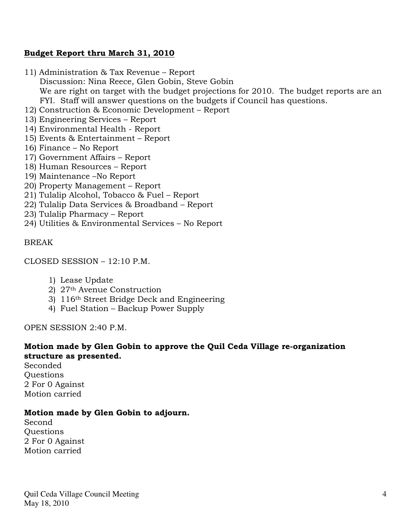### Budget Report thru March 31, 2010

- 11) Administration & Tax Revenue Report Discussion: Nina Reece, Glen Gobin, Steve Gobin We are right on target with the budget projections for 2010. The budget reports are an FYI. Staff will answer questions on the budgets if Council has questions.
- 12) Construction & Economic Development Report
- 13) Engineering Services Report
- 14) Environmental Health Report
- 15) Events & Entertainment Report
- 16) Finance No Report
- 17) Government Affairs Report
- 18) Human Resources Report
- 19) Maintenance –No Report
- 20) Property Management Report
- 21) Tulalip Alcohol, Tobacco & Fuel Report
- 22) Tulalip Data Services & Broadband Report
- 23) Tulalip Pharmacy Report
- 24) Utilities & Environmental Services No Report

#### BREAK

CLOSED SESSION – 12:10 P.M.

- 1) Lease Update
- 2) 27th Avenue Construction
- 3) 116th Street Bridge Deck and Engineering
- 4) Fuel Station Backup Power Supply

OPEN SESSION 2:40 P.M.

# Motion made by Glen Gobin to approve the Quil Ceda Village re-organization structure as presented.

Seconded **Ouestions** 2 For 0 Against Motion carried

#### Motion made by Glen Gobin to adjourn.

Second Questions 2 For 0 Against Motion carried